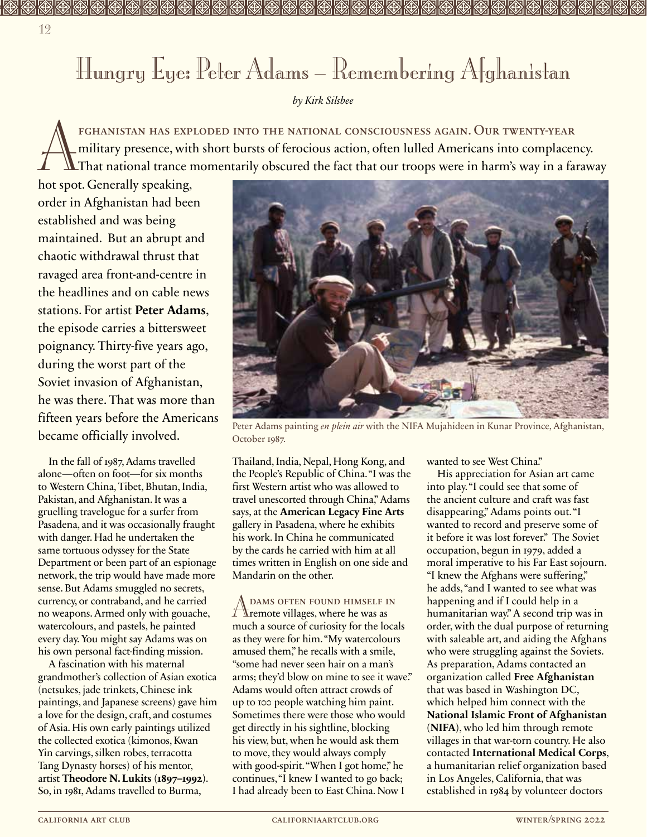## Hungry Eye: Peter Adams – Remembering Afghanistan

## *by Kirk Silsbee*

FGHANISTAN HAS EXPLODED INTO THE NATIONAL CONSCIOUSNESS AGAIN. OUR TWENTY-YEAR<br>military presence, with short bursts of ferocious action, often lulled Americans into complacer<br>hot spot. Generally speaking. military presence, with short bursts of ferocious action, often lulled Americans into complacency. That national trance momentarily obscured the fact that our troops were in harm's way in a faraway

hot spot. Generally speaking, order in Afghanistan had been established and was being maintained. But an abrupt and chaotic withdrawal thrust that ravaged area front-and-centre in the headlines and on cable news stations. For artist **Peter Adams**, the episode carries a bittersweet poignancy. Thirty-five years ago, during the worst part of the Soviet invasion of Afghanistan, he was there. That was more than fifteen years before the Americans became officially involved.

In the fall of 1987, Adams travelled alone—often on foot—for six months to Western China, Tibet, Bhutan, India, Pakistan, and Afghanistan. It was a gruelling travelogue for a surfer from Pasadena, and it was occasionally fraught with danger. Had he undertaken the same tortuous odyssey for the State Department or been part of an espionage network, the trip would have made more sense. But Adams smuggled no secrets, currency, or contraband, and he carried no weapons. Armed only with gouache, watercolours, and pastels, he painted every day. You might say Adams was on his own personal fact-finding mission.

A fascination with his maternal grandmother's collection of Asian exotica (netsukes, jade trinkets, Chinese ink paintings, and Japanese screens) gave him a love for the design, craft, and costumes of Asia. His own early paintings utilized the collected exotica (kimonos, Kwan Yin carvings, silken robes, terracotta Tang Dynasty horses) of his mentor, artist **Theodore N. Lukits (1897–1992)**. So, in 1981, Adams travelled to Burma,



Peter Adams painting *en plein air* with the NIFA Mujahideen in Kunar Province, Afghanistan, October 1987.

Thailand, India, Nepal, Hong Kong, and the People's Republic of China. "I was the first Western artist who was allowed to travel unescorted through China," Adams says, at the **American Legacy Fine Arts** gallery in Pasadena, where he exhibits his work. In China he communicated by the cards he carried with him at all times written in English on one side and Mandarin on the other.

Adams often found himself in remote villages, where he was as much a source of curiosity for the locals as they were for him. "My watercolours amused them," he recalls with a smile, "some had never seen hair on a man's arms; they'd blow on mine to see it wave." Adams would often attract crowds of up to 100 people watching him paint. Sometimes there were those who would get directly in his sightline, blocking his view, but, when he would ask them to move, they would always comply with good-spirit. "When I got home," he continues, "I knew I wanted to go back; I had already been to East China. Now I

wanted to see West China."

His appreciation for Asian art came into play. "I could see that some of the ancient culture and craft was fast disappearing," Adams points out. "I wanted to record and preserve some of it before it was lost forever." The Soviet occupation, begun in 1979, added a moral imperative to his Far East sojourn. "I knew the Afghans were suffering," he adds, "and I wanted to see what was happening and if I could help in a humanitarian way." A second trip was in order, with the dual purpose of returning with saleable art, and aiding the Afghans who were struggling against the Soviets. As preparation, Adams contacted an organization called **Free Afghanistan** that was based in Washington DC, which helped him connect with the **National Islamic Front of Afghanistan (NIFA)**, who led him through remote villages in that war-torn country. He also contacted **International Medical Corps**, a humanitarian relief organization based in Los Angeles, California, that was established in 1984 by volunteer doctors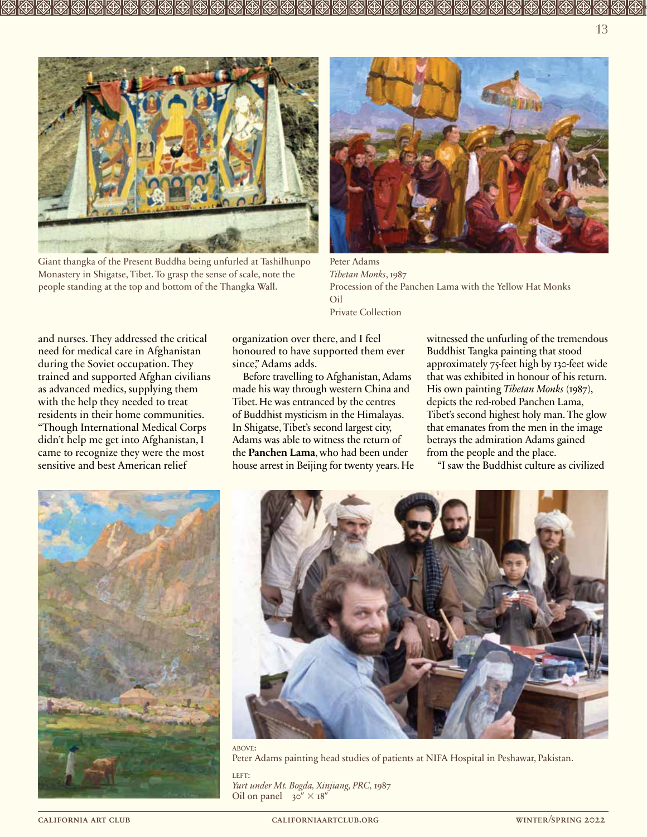

Giant thangka of the Present Buddha being unfurled at Tashilhunpo Monastery in Shigatse, Tibet. To grasp the sense of scale, note the people standing at the top and bottom of the Thangka Wall.



Peter Adams *Tibetan Monks*, 1987 Procession of the Panchen Lama with the Yellow Hat Monks Oil Private Collection

and nurses. They addressed the critical need for medical care in Afghanistan during the Soviet occupation. They trained and supported Afghan civilians as advanced medics, supplying them with the help they needed to treat residents in their home communities. "Though International Medical Corps didn't help me get into Afghanistan, I came to recognize they were the most sensitive and best American relief

organization over there, and I feel honoured to have supported them ever since," Adams adds.

Before travelling to Afghanistan, Adams made his way through western China and Tibet. He was entranced by the centres of Buddhist mysticism in the Himalayas. In Shigatse, Tibet's second largest city, Adams was able to witness the return of the **Panchen Lama**, who had been under house arrest in Beijing for twenty years. He witnessed the unfurling of the tremendous Buddhist Tangka painting that stood approximately 75-feet high by 130-feet wide that was exhibited in honour of his return. His own painting *Tibetan Monks* (1987), depicts the red-robed Panchen Lama, Tibet's second highest holy man. The glow that emanates from the men in the image betrays the admiration Adams gained from the people and the place.

"I saw the Buddhist culture as civilized





Peter Adams painting head studies of patients at NIFA Hospital in Peshawar, Pakistan.

LEFT: *Yurt under Mt. Bogda, Xinjiang, PRC,* 1987 Oil on panel  $30'' \times 18''$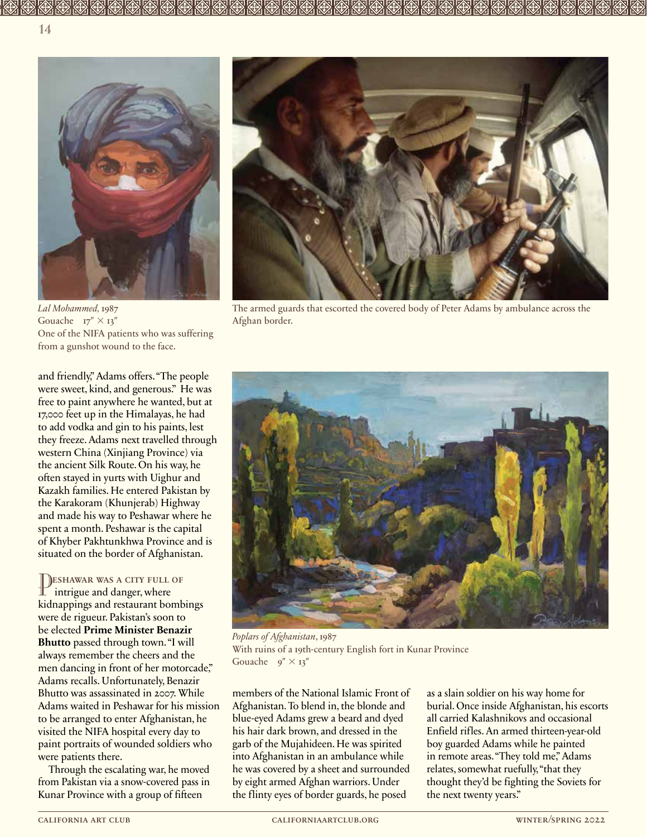

*Lal Mohammed,* 1987 Gouache  $17'' \times 13''$ One of the NIFA patients who was suffering from a gunshot wound to the face.

and friendly," Adams offers. "The people were sweet, kind, and generous." He was free to paint anywhere he wanted, but at 17,000 feet up in the Himalayas, he had to add vodka and gin to his paints, lest they freeze. Adams next travelled through western China (Xinjiang Province) via the ancient Silk Route. On his way, he often stayed in yurts with Uighur and Kazakh families. He entered Pakistan by the Karakoram (Khunjerab) Highway and made his way to Peshawar where he spent a month. Peshawar is the capital of Khyber Pakhtunkhwa Province and is situated on the border of Afghanistan.

Peshawar was a city full of intrigue and danger, where kidnappings and restaurant bombings were de rigueur. Pakistan's soon to be elected **Prime Minister Benazir Bhutto** passed through town. "I will always remember the cheers and the men dancing in front of her motorcade," Adams recalls. Unfortunately, Benazir Bhutto was assassinated in 2007. While Adams waited in Peshawar for his mission to be arranged to enter Afghanistan, he visited the NIFA hospital every day to paint portraits of wounded soldiers who were patients there.

Through the escalating war, he moved from Pakistan via a snow-covered pass in Kunar Province with a group of fifteen



The armed guards that escorted the covered body of Peter Adams by ambulance across the Afghan border.



*Poplars of Afghanistan*, 1987 With ruins of a 19th-century English fort in Kunar Province Gouache  $9'' \times 13''$ 

members of the National Islamic Front of Afghanistan. To blend in, the blonde and blue-eyed Adams grew a beard and dyed his hair dark brown, and dressed in the garb of the Mujahideen. He was spirited into Afghanistan in an ambulance while he was covered by a sheet and surrounded by eight armed Afghan warriors. Under the flinty eyes of border guards, he posed

as a slain soldier on his way home for burial. Once inside Afghanistan, his escorts all carried Kalashnikovs and occasional Enfield rifles. An armed thirteen-year-old boy guarded Adams while he painted in remote areas. "They told me," Adams relates, somewhat ruefully, "that they thought they'd be fighting the Soviets for the next twenty years."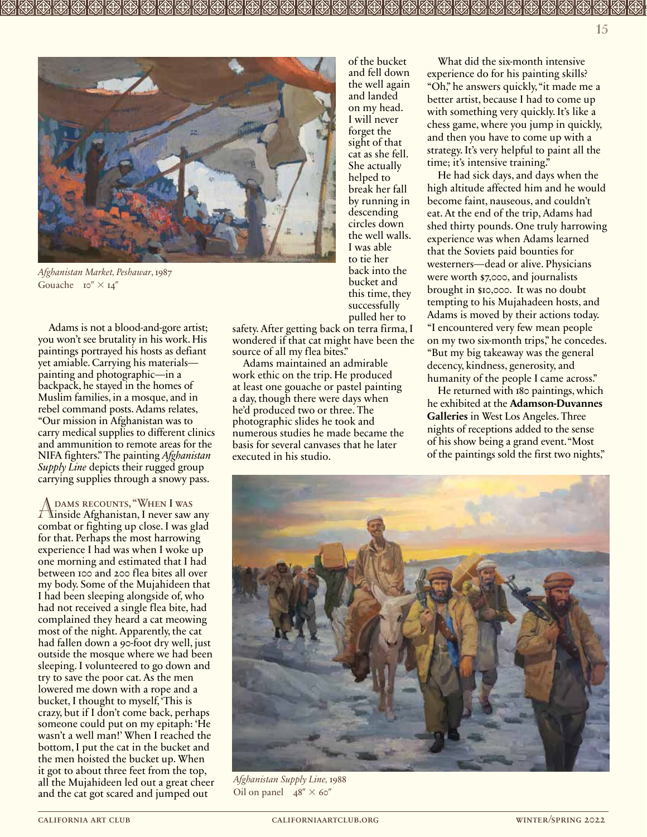

*Afghanistan Market, Peshawar*, 1987 Gouache  $10'' \times 14''$ 

Adams is not a blood-and-gore artist; you won't see brutality in his work. His paintings portrayed his hosts as defiant yet amiable. Carrying his materials painting and photographic—in a backpack, he stayed in the homes of Muslim families, in a mosque, and in rebel command posts. Adams relates, "Our mission in Afghanistan was to carry medical supplies to different clinics and ammunition to remote areas for the NIFA fighters." The painting *Afghanistan Supply Line* depicts their rugged group carrying supplies through a snowy pass.

Adams recounts, "When I was inside Afghanistan, I never saw any combat or fighting up close. I was glad for that. Perhaps the most harrowing experience I had was when I woke up one morning and estimated that I had between 100 and 200 flea bites all over my body. Some of the Mujahideen that I had been sleeping alongside of, who had not received a single flea bite, had complained they heard a cat meowing most of the night. Apparently, the cat had fallen down a 90-foot dry well, just outside the mosque where we had been sleeping. I volunteered to go down and try to save the poor cat. As the men lowered me down with a rope and a bucket, I thought to myself, 'This is crazy, but if I don't come back, perhaps someone could put on my epitaph: 'He wasn't a well man!' When I reached the bottom, I put the cat in the bucket and the men hoisted the bucket up. When it got to about three feet from the top, all the Mujahideen led out a great cheer and the cat got scared and jumped out

of the bucket and fell down the well again and landed on my head. I will never forget the sight of that cat as she fell. She actually helped to break her fall by running in descending circles down the well walls. I was able to tie her back into the bucket and this time, they successfully pulled her to

safety. After getting back on terra firma, I wondered if that cat might have been the source of all my flea bites."

Adams maintained an admirable work ethic on the trip. He produced at least one gouache or pastel painting a day, though there were days when he'd produced two or three. The photographic slides he took and numerous studies he made became the basis for several canvases that he later executed in his studio.

What did the six-month intensive experience do for his painting skills? "Oh," he answers quickly, "it made me a better artist, because I had to come up with something very quickly. It's like a chess game, where you jump in quickly, and then you have to come up with a strategy. It's very helpful to paint all the time; it's intensive training."

He had sick days, and days when the high altitude affected him and he would become faint, nauseous, and couldn't eat. At the end of the trip, Adams had shed thirty pounds. One truly harrowing experience was when Adams learned that the Soviets paid bounties for westerners—dead or alive. Physicians were worth \$7,000, and journalists brought in \$10,000. It was no doubt tempting to his Mujahadeen hosts, and Adams is moved by their actions today. "I encountered very few mean people on my two six-month trips," he concedes. "But my big takeaway was the general decency, kindness, generosity, and humanity of the people I came across."

He returned with 180 paintings, which he exhibited at the **Adamson-Duvannes Galleries** in West Los Angeles. Three nights of receptions added to the sense of his show being a grand event. "Most of the paintings sold the first two nights,"



*Afghanistan Supply Line,* 1988 Oil on panel  $48'' \times 60''$